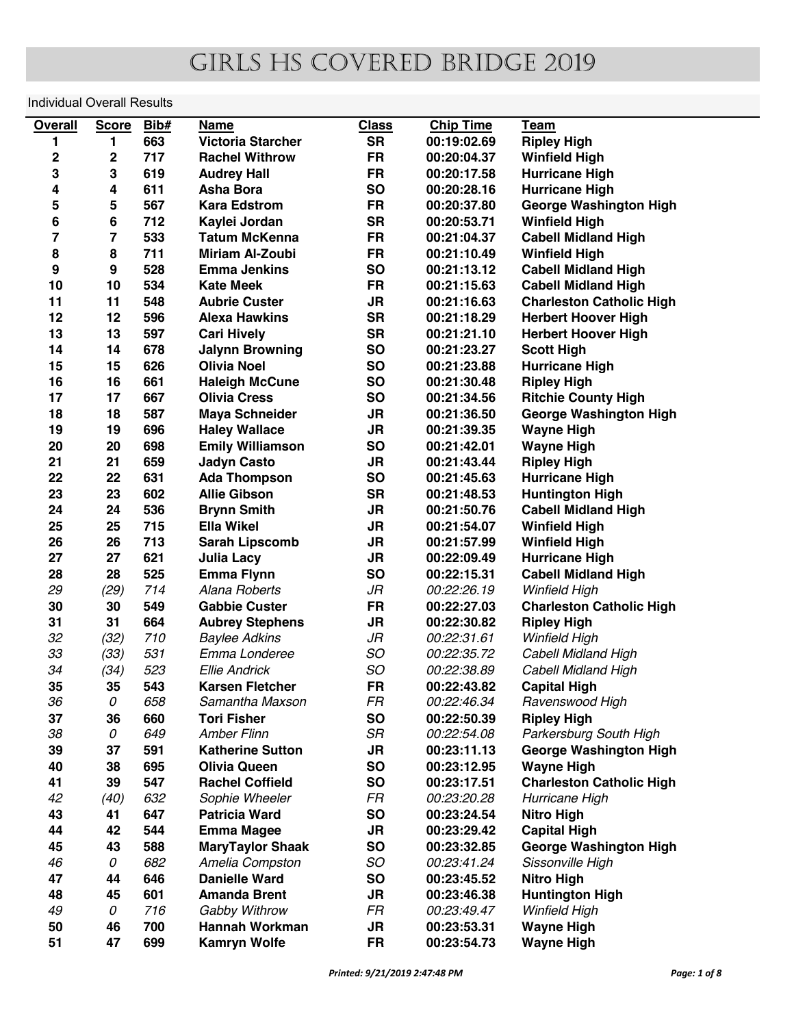## girls hs covered bridge 2019

## Individual Overall Results

| 663<br><b>SR</b><br><b>Victoria Starcher</b><br>00:19:02.69<br><b>Ripley High</b><br>1<br>1<br>$\mathbf 2$<br>$\mathbf 2$<br>717<br><b>FR</b><br><b>Rachel Withrow</b><br>00:20:04.37<br><b>Winfield High</b><br>3<br>3<br>619<br><b>FR</b><br><b>Audrey Hall</b><br>00:20:17.58<br><b>Hurricane High</b><br>4<br>611<br><b>SO</b><br>4<br><b>Asha Bora</b><br>00:20:28.16<br><b>Hurricane High</b><br>5<br>5<br>567<br><b>Kara Edstrom</b><br><b>FR</b><br>00:20:37.80<br><b>George Washington High</b><br>6<br>6<br>712<br><b>SR</b><br>Kaylei Jordan<br>00:20:53.71<br><b>Winfield High</b><br>7<br>7<br>533<br><b>Tatum McKenna</b><br><b>FR</b><br>00:21:04.37<br><b>Cabell Midland High</b><br>8<br>8<br>711<br><b>Miriam Al-Zoubi</b><br><b>FR</b><br>00:21:10.49<br><b>Winfield High</b><br>$\boldsymbol{9}$<br>9<br>528<br><b>SO</b><br><b>Emma Jenkins</b><br>00:21:13.12<br><b>Cabell Midland High</b><br>10<br>10<br>534<br><b>FR</b><br><b>Kate Meek</b><br>00:21:15.63<br><b>Cabell Midland High</b><br>11<br>11<br>548<br><b>Aubrie Custer</b><br>JR<br>00:21:16.63<br><b>Charleston Catholic High</b><br>12<br><b>SR</b><br>12<br>596<br><b>Alexa Hawkins</b><br>00:21:18.29<br><b>Herbert Hoover High</b><br><b>SR</b><br>13<br>13<br>597<br><b>Cari Hively</b><br>00:21:21.10<br><b>Herbert Hoover High</b><br>14<br>14<br>678<br><b>SO</b><br><b>Jalynn Browning</b><br>00:21:23.27<br><b>Scott High</b><br>15<br>15<br>626<br><b>SO</b><br><b>Olivia Noel</b><br>00:21:23.88<br><b>Hurricane High</b><br>16<br>16<br>661<br><b>SO</b><br><b>Haleigh McCune</b><br>00:21:30.48<br><b>Ripley High</b><br>17<br>17<br>667<br><b>SO</b><br><b>Olivia Cress</b><br>00:21:34.56<br><b>Ritchie County High</b><br>18<br>18<br>587<br><b>JR</b><br><b>Maya Schneider</b><br>00:21:36.50<br><b>George Washington High</b><br>19<br>696<br>JR<br>19<br><b>Haley Wallace</b><br>00:21:39.35<br><b>Wayne High</b><br>20<br>698<br><b>SO</b><br>20<br><b>Emily Williamson</b><br>00:21:42.01<br><b>Wayne High</b><br>659<br><b>JR</b><br>21<br>21<br><b>Jadyn Casto</b><br>00:21:43.44<br><b>Ripley High</b><br>22<br><b>SO</b><br>22<br>631<br><b>Ada Thompson</b><br><b>Hurricane High</b><br>00:21:45.63<br><b>SR</b><br>23<br>23<br>602<br><b>Allie Gibson</b><br>00:21:48.53<br><b>Huntington High</b><br>24<br>24<br>536<br>JR<br>00:21:50.76<br><b>Cabell Midland High</b><br><b>Brynn Smith</b><br>25<br>25<br>715<br>JR<br><b>Ella Wikel</b><br>00:21:54.07<br><b>Winfield High</b><br>26<br>713<br>26<br><b>Sarah Lipscomb</b><br>JR<br><b>Winfield High</b><br>00:21:57.99<br>27<br>621<br><b>JR</b><br>27<br><b>Julia Lacy</b><br>00:22:09.49<br><b>Hurricane High</b><br>28<br>28<br>525<br><b>SO</b><br><b>Emma Flynn</b><br>00:22:15.31<br><b>Cabell Midland High</b><br>29<br>714<br>JR<br>(29)<br>Alana Roberts<br>00:22:26.19<br><b>Winfield High</b><br>30<br>30<br><b>FR</b><br>549<br><b>Gabbie Custer</b><br>00:22:27.03<br><b>Charleston Catholic High</b><br>31<br>31<br>664<br>JR<br><b>Aubrey Stephens</b><br>00:22:30.82<br><b>Ripley High</b><br>32<br>710<br>JR<br>(32)<br>00:22:31.61<br><b>Baylee Adkins</b><br><b>Winfield High</b><br>SO<br>33<br>(33)<br>531<br>Emma Londeree<br>00:22:35.72<br><b>Cabell Midland High</b><br>34<br>523<br>SO<br>(34)<br><b>Ellie Andrick</b><br>00:22:38.89<br><b>Cabell Midland High</b><br>35<br>35<br>543<br><b>FR</b><br><b>Karsen Fletcher</b><br>00:22:43.82<br><b>Capital High</b><br>36<br>0<br>658<br>Samantha Maxson<br>FR<br>00:22:46.34<br>Ravenswood High<br>37<br>36<br>660<br><b>SO</b><br><b>Tori Fisher</b><br>00:22:50.39<br><b>Ripley High</b><br>38<br>SR<br>0<br>649<br><b>Amber Flinn</b><br>00:22:54.08<br>Parkersburg South High<br>39<br>591<br>JR<br>37<br><b>Katherine Sutton</b><br>00:23:11.13<br><b>George Washington High</b><br>40<br>38<br>695<br><b>SO</b><br><b>Olivia Queen</b><br>00:23:12.95<br><b>Wayne High</b><br>41<br>39<br>547<br><b>SO</b><br><b>Rachel Coffield</b><br>00:23:17.51<br><b>Charleston Catholic High</b><br>42<br>632<br>FR<br>00:23:20.28<br>(40)<br>Sophie Wheeler<br>Hurricane High<br>43<br>647<br><b>SO</b><br>41<br><b>Patricia Ward</b><br>00:23:24.54<br><b>Nitro High</b><br>44<br>42<br>544<br><b>JR</b><br><b>Emma Magee</b><br>00:23:29.42<br><b>Capital High</b><br><b>SO</b><br>45<br>43<br>588<br><b>MaryTaylor Shaak</b><br>00:23:32.85<br><b>George Washington High</b><br>SO<br>46<br>682<br>0<br>Amelia Compston<br>Sissonville High<br>00:23:41.24<br>47<br>44<br>646<br><b>SO</b><br><b>Danielle Ward</b><br>00:23:45.52<br><b>Nitro High</b><br>48<br>45<br>601<br><b>Amanda Brent</b><br><b>JR</b><br>00:23:46.38<br><b>Huntington High</b><br>49<br>716<br>FR<br>0<br>Gabby Withrow<br><b>Winfield High</b><br>00:23:49.47<br>50<br>700<br>46<br><b>Hannah Workman</b><br>JR<br><b>Wayne High</b><br>00:23:53.31 | <b>Overall</b> | <b>Score</b> | Bib# | <b>Name</b>         | <b>Class</b> | <b>Chip Time</b> | <b>Team</b>       |
|-------------------------------------------------------------------------------------------------------------------------------------------------------------------------------------------------------------------------------------------------------------------------------------------------------------------------------------------------------------------------------------------------------------------------------------------------------------------------------------------------------------------------------------------------------------------------------------------------------------------------------------------------------------------------------------------------------------------------------------------------------------------------------------------------------------------------------------------------------------------------------------------------------------------------------------------------------------------------------------------------------------------------------------------------------------------------------------------------------------------------------------------------------------------------------------------------------------------------------------------------------------------------------------------------------------------------------------------------------------------------------------------------------------------------------------------------------------------------------------------------------------------------------------------------------------------------------------------------------------------------------------------------------------------------------------------------------------------------------------------------------------------------------------------------------------------------------------------------------------------------------------------------------------------------------------------------------------------------------------------------------------------------------------------------------------------------------------------------------------------------------------------------------------------------------------------------------------------------------------------------------------------------------------------------------------------------------------------------------------------------------------------------------------------------------------------------------------------------------------------------------------------------------------------------------------------------------------------------------------------------------------------------------------------------------------------------------------------------------------------------------------------------------------------------------------------------------------------------------------------------------------------------------------------------------------------------------------------------------------------------------------------------------------------------------------------------------------------------------------------------------------------------------------------------------------------------------------------------------------------------------------------------------------------------------------------------------------------------------------------------------------------------------------------------------------------------------------------------------------------------------------------------------------------------------------------------------------------------------------------------------------------------------------------------------------------------------------------------------------------------------------------------------------------------------------------------------------------------------------------------------------------------------------------------------------------------------------------------------------------------------------------------------------------------------------------------------------------------------------------------------------------------------------------------------------------------------------------------------------------------------------------------------------------------------------------------------------------------------------------------------------------------------------------------------------------------------------------------------------------------------------------------------------------------------------------------------------------------------------------------------------------------------------------------------------------------------------------------------------------------------------------------------------------------------------------------------------------------------------------------------|----------------|--------------|------|---------------------|--------------|------------------|-------------------|
|                                                                                                                                                                                                                                                                                                                                                                                                                                                                                                                                                                                                                                                                                                                                                                                                                                                                                                                                                                                                                                                                                                                                                                                                                                                                                                                                                                                                                                                                                                                                                                                                                                                                                                                                                                                                                                                                                                                                                                                                                                                                                                                                                                                                                                                                                                                                                                                                                                                                                                                                                                                                                                                                                                                                                                                                                                                                                                                                                                                                                                                                                                                                                                                                                                                                                                                                                                                                                                                                                                                                                                                                                                                                                                                                                                                                                                                                                                                                                                                                                                                                                                                                                                                                                                                                                                                                                                                                                                                                                                                                                                                                                                                                                                                                                                                                                                                                               |                |              |      |                     |              |                  |                   |
|                                                                                                                                                                                                                                                                                                                                                                                                                                                                                                                                                                                                                                                                                                                                                                                                                                                                                                                                                                                                                                                                                                                                                                                                                                                                                                                                                                                                                                                                                                                                                                                                                                                                                                                                                                                                                                                                                                                                                                                                                                                                                                                                                                                                                                                                                                                                                                                                                                                                                                                                                                                                                                                                                                                                                                                                                                                                                                                                                                                                                                                                                                                                                                                                                                                                                                                                                                                                                                                                                                                                                                                                                                                                                                                                                                                                                                                                                                                                                                                                                                                                                                                                                                                                                                                                                                                                                                                                                                                                                                                                                                                                                                                                                                                                                                                                                                                                               |                |              |      |                     |              |                  |                   |
|                                                                                                                                                                                                                                                                                                                                                                                                                                                                                                                                                                                                                                                                                                                                                                                                                                                                                                                                                                                                                                                                                                                                                                                                                                                                                                                                                                                                                                                                                                                                                                                                                                                                                                                                                                                                                                                                                                                                                                                                                                                                                                                                                                                                                                                                                                                                                                                                                                                                                                                                                                                                                                                                                                                                                                                                                                                                                                                                                                                                                                                                                                                                                                                                                                                                                                                                                                                                                                                                                                                                                                                                                                                                                                                                                                                                                                                                                                                                                                                                                                                                                                                                                                                                                                                                                                                                                                                                                                                                                                                                                                                                                                                                                                                                                                                                                                                                               |                |              |      |                     |              |                  |                   |
|                                                                                                                                                                                                                                                                                                                                                                                                                                                                                                                                                                                                                                                                                                                                                                                                                                                                                                                                                                                                                                                                                                                                                                                                                                                                                                                                                                                                                                                                                                                                                                                                                                                                                                                                                                                                                                                                                                                                                                                                                                                                                                                                                                                                                                                                                                                                                                                                                                                                                                                                                                                                                                                                                                                                                                                                                                                                                                                                                                                                                                                                                                                                                                                                                                                                                                                                                                                                                                                                                                                                                                                                                                                                                                                                                                                                                                                                                                                                                                                                                                                                                                                                                                                                                                                                                                                                                                                                                                                                                                                                                                                                                                                                                                                                                                                                                                                                               |                |              |      |                     |              |                  |                   |
|                                                                                                                                                                                                                                                                                                                                                                                                                                                                                                                                                                                                                                                                                                                                                                                                                                                                                                                                                                                                                                                                                                                                                                                                                                                                                                                                                                                                                                                                                                                                                                                                                                                                                                                                                                                                                                                                                                                                                                                                                                                                                                                                                                                                                                                                                                                                                                                                                                                                                                                                                                                                                                                                                                                                                                                                                                                                                                                                                                                                                                                                                                                                                                                                                                                                                                                                                                                                                                                                                                                                                                                                                                                                                                                                                                                                                                                                                                                                                                                                                                                                                                                                                                                                                                                                                                                                                                                                                                                                                                                                                                                                                                                                                                                                                                                                                                                                               |                |              |      |                     |              |                  |                   |
|                                                                                                                                                                                                                                                                                                                                                                                                                                                                                                                                                                                                                                                                                                                                                                                                                                                                                                                                                                                                                                                                                                                                                                                                                                                                                                                                                                                                                                                                                                                                                                                                                                                                                                                                                                                                                                                                                                                                                                                                                                                                                                                                                                                                                                                                                                                                                                                                                                                                                                                                                                                                                                                                                                                                                                                                                                                                                                                                                                                                                                                                                                                                                                                                                                                                                                                                                                                                                                                                                                                                                                                                                                                                                                                                                                                                                                                                                                                                                                                                                                                                                                                                                                                                                                                                                                                                                                                                                                                                                                                                                                                                                                                                                                                                                                                                                                                                               |                |              |      |                     |              |                  |                   |
|                                                                                                                                                                                                                                                                                                                                                                                                                                                                                                                                                                                                                                                                                                                                                                                                                                                                                                                                                                                                                                                                                                                                                                                                                                                                                                                                                                                                                                                                                                                                                                                                                                                                                                                                                                                                                                                                                                                                                                                                                                                                                                                                                                                                                                                                                                                                                                                                                                                                                                                                                                                                                                                                                                                                                                                                                                                                                                                                                                                                                                                                                                                                                                                                                                                                                                                                                                                                                                                                                                                                                                                                                                                                                                                                                                                                                                                                                                                                                                                                                                                                                                                                                                                                                                                                                                                                                                                                                                                                                                                                                                                                                                                                                                                                                                                                                                                                               |                |              |      |                     |              |                  |                   |
|                                                                                                                                                                                                                                                                                                                                                                                                                                                                                                                                                                                                                                                                                                                                                                                                                                                                                                                                                                                                                                                                                                                                                                                                                                                                                                                                                                                                                                                                                                                                                                                                                                                                                                                                                                                                                                                                                                                                                                                                                                                                                                                                                                                                                                                                                                                                                                                                                                                                                                                                                                                                                                                                                                                                                                                                                                                                                                                                                                                                                                                                                                                                                                                                                                                                                                                                                                                                                                                                                                                                                                                                                                                                                                                                                                                                                                                                                                                                                                                                                                                                                                                                                                                                                                                                                                                                                                                                                                                                                                                                                                                                                                                                                                                                                                                                                                                                               |                |              |      |                     |              |                  |                   |
|                                                                                                                                                                                                                                                                                                                                                                                                                                                                                                                                                                                                                                                                                                                                                                                                                                                                                                                                                                                                                                                                                                                                                                                                                                                                                                                                                                                                                                                                                                                                                                                                                                                                                                                                                                                                                                                                                                                                                                                                                                                                                                                                                                                                                                                                                                                                                                                                                                                                                                                                                                                                                                                                                                                                                                                                                                                                                                                                                                                                                                                                                                                                                                                                                                                                                                                                                                                                                                                                                                                                                                                                                                                                                                                                                                                                                                                                                                                                                                                                                                                                                                                                                                                                                                                                                                                                                                                                                                                                                                                                                                                                                                                                                                                                                                                                                                                                               |                |              |      |                     |              |                  |                   |
|                                                                                                                                                                                                                                                                                                                                                                                                                                                                                                                                                                                                                                                                                                                                                                                                                                                                                                                                                                                                                                                                                                                                                                                                                                                                                                                                                                                                                                                                                                                                                                                                                                                                                                                                                                                                                                                                                                                                                                                                                                                                                                                                                                                                                                                                                                                                                                                                                                                                                                                                                                                                                                                                                                                                                                                                                                                                                                                                                                                                                                                                                                                                                                                                                                                                                                                                                                                                                                                                                                                                                                                                                                                                                                                                                                                                                                                                                                                                                                                                                                                                                                                                                                                                                                                                                                                                                                                                                                                                                                                                                                                                                                                                                                                                                                                                                                                                               |                |              |      |                     |              |                  |                   |
|                                                                                                                                                                                                                                                                                                                                                                                                                                                                                                                                                                                                                                                                                                                                                                                                                                                                                                                                                                                                                                                                                                                                                                                                                                                                                                                                                                                                                                                                                                                                                                                                                                                                                                                                                                                                                                                                                                                                                                                                                                                                                                                                                                                                                                                                                                                                                                                                                                                                                                                                                                                                                                                                                                                                                                                                                                                                                                                                                                                                                                                                                                                                                                                                                                                                                                                                                                                                                                                                                                                                                                                                                                                                                                                                                                                                                                                                                                                                                                                                                                                                                                                                                                                                                                                                                                                                                                                                                                                                                                                                                                                                                                                                                                                                                                                                                                                                               |                |              |      |                     |              |                  |                   |
|                                                                                                                                                                                                                                                                                                                                                                                                                                                                                                                                                                                                                                                                                                                                                                                                                                                                                                                                                                                                                                                                                                                                                                                                                                                                                                                                                                                                                                                                                                                                                                                                                                                                                                                                                                                                                                                                                                                                                                                                                                                                                                                                                                                                                                                                                                                                                                                                                                                                                                                                                                                                                                                                                                                                                                                                                                                                                                                                                                                                                                                                                                                                                                                                                                                                                                                                                                                                                                                                                                                                                                                                                                                                                                                                                                                                                                                                                                                                                                                                                                                                                                                                                                                                                                                                                                                                                                                                                                                                                                                                                                                                                                                                                                                                                                                                                                                                               |                |              |      |                     |              |                  |                   |
|                                                                                                                                                                                                                                                                                                                                                                                                                                                                                                                                                                                                                                                                                                                                                                                                                                                                                                                                                                                                                                                                                                                                                                                                                                                                                                                                                                                                                                                                                                                                                                                                                                                                                                                                                                                                                                                                                                                                                                                                                                                                                                                                                                                                                                                                                                                                                                                                                                                                                                                                                                                                                                                                                                                                                                                                                                                                                                                                                                                                                                                                                                                                                                                                                                                                                                                                                                                                                                                                                                                                                                                                                                                                                                                                                                                                                                                                                                                                                                                                                                                                                                                                                                                                                                                                                                                                                                                                                                                                                                                                                                                                                                                                                                                                                                                                                                                                               |                |              |      |                     |              |                  |                   |
|                                                                                                                                                                                                                                                                                                                                                                                                                                                                                                                                                                                                                                                                                                                                                                                                                                                                                                                                                                                                                                                                                                                                                                                                                                                                                                                                                                                                                                                                                                                                                                                                                                                                                                                                                                                                                                                                                                                                                                                                                                                                                                                                                                                                                                                                                                                                                                                                                                                                                                                                                                                                                                                                                                                                                                                                                                                                                                                                                                                                                                                                                                                                                                                                                                                                                                                                                                                                                                                                                                                                                                                                                                                                                                                                                                                                                                                                                                                                                                                                                                                                                                                                                                                                                                                                                                                                                                                                                                                                                                                                                                                                                                                                                                                                                                                                                                                                               |                |              |      |                     |              |                  |                   |
|                                                                                                                                                                                                                                                                                                                                                                                                                                                                                                                                                                                                                                                                                                                                                                                                                                                                                                                                                                                                                                                                                                                                                                                                                                                                                                                                                                                                                                                                                                                                                                                                                                                                                                                                                                                                                                                                                                                                                                                                                                                                                                                                                                                                                                                                                                                                                                                                                                                                                                                                                                                                                                                                                                                                                                                                                                                                                                                                                                                                                                                                                                                                                                                                                                                                                                                                                                                                                                                                                                                                                                                                                                                                                                                                                                                                                                                                                                                                                                                                                                                                                                                                                                                                                                                                                                                                                                                                                                                                                                                                                                                                                                                                                                                                                                                                                                                                               |                |              |      |                     |              |                  |                   |
|                                                                                                                                                                                                                                                                                                                                                                                                                                                                                                                                                                                                                                                                                                                                                                                                                                                                                                                                                                                                                                                                                                                                                                                                                                                                                                                                                                                                                                                                                                                                                                                                                                                                                                                                                                                                                                                                                                                                                                                                                                                                                                                                                                                                                                                                                                                                                                                                                                                                                                                                                                                                                                                                                                                                                                                                                                                                                                                                                                                                                                                                                                                                                                                                                                                                                                                                                                                                                                                                                                                                                                                                                                                                                                                                                                                                                                                                                                                                                                                                                                                                                                                                                                                                                                                                                                                                                                                                                                                                                                                                                                                                                                                                                                                                                                                                                                                                               |                |              |      |                     |              |                  |                   |
|                                                                                                                                                                                                                                                                                                                                                                                                                                                                                                                                                                                                                                                                                                                                                                                                                                                                                                                                                                                                                                                                                                                                                                                                                                                                                                                                                                                                                                                                                                                                                                                                                                                                                                                                                                                                                                                                                                                                                                                                                                                                                                                                                                                                                                                                                                                                                                                                                                                                                                                                                                                                                                                                                                                                                                                                                                                                                                                                                                                                                                                                                                                                                                                                                                                                                                                                                                                                                                                                                                                                                                                                                                                                                                                                                                                                                                                                                                                                                                                                                                                                                                                                                                                                                                                                                                                                                                                                                                                                                                                                                                                                                                                                                                                                                                                                                                                                               |                |              |      |                     |              |                  |                   |
|                                                                                                                                                                                                                                                                                                                                                                                                                                                                                                                                                                                                                                                                                                                                                                                                                                                                                                                                                                                                                                                                                                                                                                                                                                                                                                                                                                                                                                                                                                                                                                                                                                                                                                                                                                                                                                                                                                                                                                                                                                                                                                                                                                                                                                                                                                                                                                                                                                                                                                                                                                                                                                                                                                                                                                                                                                                                                                                                                                                                                                                                                                                                                                                                                                                                                                                                                                                                                                                                                                                                                                                                                                                                                                                                                                                                                                                                                                                                                                                                                                                                                                                                                                                                                                                                                                                                                                                                                                                                                                                                                                                                                                                                                                                                                                                                                                                                               |                |              |      |                     |              |                  |                   |
|                                                                                                                                                                                                                                                                                                                                                                                                                                                                                                                                                                                                                                                                                                                                                                                                                                                                                                                                                                                                                                                                                                                                                                                                                                                                                                                                                                                                                                                                                                                                                                                                                                                                                                                                                                                                                                                                                                                                                                                                                                                                                                                                                                                                                                                                                                                                                                                                                                                                                                                                                                                                                                                                                                                                                                                                                                                                                                                                                                                                                                                                                                                                                                                                                                                                                                                                                                                                                                                                                                                                                                                                                                                                                                                                                                                                                                                                                                                                                                                                                                                                                                                                                                                                                                                                                                                                                                                                                                                                                                                                                                                                                                                                                                                                                                                                                                                                               |                |              |      |                     |              |                  |                   |
|                                                                                                                                                                                                                                                                                                                                                                                                                                                                                                                                                                                                                                                                                                                                                                                                                                                                                                                                                                                                                                                                                                                                                                                                                                                                                                                                                                                                                                                                                                                                                                                                                                                                                                                                                                                                                                                                                                                                                                                                                                                                                                                                                                                                                                                                                                                                                                                                                                                                                                                                                                                                                                                                                                                                                                                                                                                                                                                                                                                                                                                                                                                                                                                                                                                                                                                                                                                                                                                                                                                                                                                                                                                                                                                                                                                                                                                                                                                                                                                                                                                                                                                                                                                                                                                                                                                                                                                                                                                                                                                                                                                                                                                                                                                                                                                                                                                                               |                |              |      |                     |              |                  |                   |
|                                                                                                                                                                                                                                                                                                                                                                                                                                                                                                                                                                                                                                                                                                                                                                                                                                                                                                                                                                                                                                                                                                                                                                                                                                                                                                                                                                                                                                                                                                                                                                                                                                                                                                                                                                                                                                                                                                                                                                                                                                                                                                                                                                                                                                                                                                                                                                                                                                                                                                                                                                                                                                                                                                                                                                                                                                                                                                                                                                                                                                                                                                                                                                                                                                                                                                                                                                                                                                                                                                                                                                                                                                                                                                                                                                                                                                                                                                                                                                                                                                                                                                                                                                                                                                                                                                                                                                                                                                                                                                                                                                                                                                                                                                                                                                                                                                                                               |                |              |      |                     |              |                  |                   |
|                                                                                                                                                                                                                                                                                                                                                                                                                                                                                                                                                                                                                                                                                                                                                                                                                                                                                                                                                                                                                                                                                                                                                                                                                                                                                                                                                                                                                                                                                                                                                                                                                                                                                                                                                                                                                                                                                                                                                                                                                                                                                                                                                                                                                                                                                                                                                                                                                                                                                                                                                                                                                                                                                                                                                                                                                                                                                                                                                                                                                                                                                                                                                                                                                                                                                                                                                                                                                                                                                                                                                                                                                                                                                                                                                                                                                                                                                                                                                                                                                                                                                                                                                                                                                                                                                                                                                                                                                                                                                                                                                                                                                                                                                                                                                                                                                                                                               |                |              |      |                     |              |                  |                   |
|                                                                                                                                                                                                                                                                                                                                                                                                                                                                                                                                                                                                                                                                                                                                                                                                                                                                                                                                                                                                                                                                                                                                                                                                                                                                                                                                                                                                                                                                                                                                                                                                                                                                                                                                                                                                                                                                                                                                                                                                                                                                                                                                                                                                                                                                                                                                                                                                                                                                                                                                                                                                                                                                                                                                                                                                                                                                                                                                                                                                                                                                                                                                                                                                                                                                                                                                                                                                                                                                                                                                                                                                                                                                                                                                                                                                                                                                                                                                                                                                                                                                                                                                                                                                                                                                                                                                                                                                                                                                                                                                                                                                                                                                                                                                                                                                                                                                               |                |              |      |                     |              |                  |                   |
|                                                                                                                                                                                                                                                                                                                                                                                                                                                                                                                                                                                                                                                                                                                                                                                                                                                                                                                                                                                                                                                                                                                                                                                                                                                                                                                                                                                                                                                                                                                                                                                                                                                                                                                                                                                                                                                                                                                                                                                                                                                                                                                                                                                                                                                                                                                                                                                                                                                                                                                                                                                                                                                                                                                                                                                                                                                                                                                                                                                                                                                                                                                                                                                                                                                                                                                                                                                                                                                                                                                                                                                                                                                                                                                                                                                                                                                                                                                                                                                                                                                                                                                                                                                                                                                                                                                                                                                                                                                                                                                                                                                                                                                                                                                                                                                                                                                                               |                |              |      |                     |              |                  |                   |
|                                                                                                                                                                                                                                                                                                                                                                                                                                                                                                                                                                                                                                                                                                                                                                                                                                                                                                                                                                                                                                                                                                                                                                                                                                                                                                                                                                                                                                                                                                                                                                                                                                                                                                                                                                                                                                                                                                                                                                                                                                                                                                                                                                                                                                                                                                                                                                                                                                                                                                                                                                                                                                                                                                                                                                                                                                                                                                                                                                                                                                                                                                                                                                                                                                                                                                                                                                                                                                                                                                                                                                                                                                                                                                                                                                                                                                                                                                                                                                                                                                                                                                                                                                                                                                                                                                                                                                                                                                                                                                                                                                                                                                                                                                                                                                                                                                                                               |                |              |      |                     |              |                  |                   |
|                                                                                                                                                                                                                                                                                                                                                                                                                                                                                                                                                                                                                                                                                                                                                                                                                                                                                                                                                                                                                                                                                                                                                                                                                                                                                                                                                                                                                                                                                                                                                                                                                                                                                                                                                                                                                                                                                                                                                                                                                                                                                                                                                                                                                                                                                                                                                                                                                                                                                                                                                                                                                                                                                                                                                                                                                                                                                                                                                                                                                                                                                                                                                                                                                                                                                                                                                                                                                                                                                                                                                                                                                                                                                                                                                                                                                                                                                                                                                                                                                                                                                                                                                                                                                                                                                                                                                                                                                                                                                                                                                                                                                                                                                                                                                                                                                                                                               |                |              |      |                     |              |                  |                   |
|                                                                                                                                                                                                                                                                                                                                                                                                                                                                                                                                                                                                                                                                                                                                                                                                                                                                                                                                                                                                                                                                                                                                                                                                                                                                                                                                                                                                                                                                                                                                                                                                                                                                                                                                                                                                                                                                                                                                                                                                                                                                                                                                                                                                                                                                                                                                                                                                                                                                                                                                                                                                                                                                                                                                                                                                                                                                                                                                                                                                                                                                                                                                                                                                                                                                                                                                                                                                                                                                                                                                                                                                                                                                                                                                                                                                                                                                                                                                                                                                                                                                                                                                                                                                                                                                                                                                                                                                                                                                                                                                                                                                                                                                                                                                                                                                                                                                               |                |              |      |                     |              |                  |                   |
|                                                                                                                                                                                                                                                                                                                                                                                                                                                                                                                                                                                                                                                                                                                                                                                                                                                                                                                                                                                                                                                                                                                                                                                                                                                                                                                                                                                                                                                                                                                                                                                                                                                                                                                                                                                                                                                                                                                                                                                                                                                                                                                                                                                                                                                                                                                                                                                                                                                                                                                                                                                                                                                                                                                                                                                                                                                                                                                                                                                                                                                                                                                                                                                                                                                                                                                                                                                                                                                                                                                                                                                                                                                                                                                                                                                                                                                                                                                                                                                                                                                                                                                                                                                                                                                                                                                                                                                                                                                                                                                                                                                                                                                                                                                                                                                                                                                                               |                |              |      |                     |              |                  |                   |
|                                                                                                                                                                                                                                                                                                                                                                                                                                                                                                                                                                                                                                                                                                                                                                                                                                                                                                                                                                                                                                                                                                                                                                                                                                                                                                                                                                                                                                                                                                                                                                                                                                                                                                                                                                                                                                                                                                                                                                                                                                                                                                                                                                                                                                                                                                                                                                                                                                                                                                                                                                                                                                                                                                                                                                                                                                                                                                                                                                                                                                                                                                                                                                                                                                                                                                                                                                                                                                                                                                                                                                                                                                                                                                                                                                                                                                                                                                                                                                                                                                                                                                                                                                                                                                                                                                                                                                                                                                                                                                                                                                                                                                                                                                                                                                                                                                                                               |                |              |      |                     |              |                  |                   |
|                                                                                                                                                                                                                                                                                                                                                                                                                                                                                                                                                                                                                                                                                                                                                                                                                                                                                                                                                                                                                                                                                                                                                                                                                                                                                                                                                                                                                                                                                                                                                                                                                                                                                                                                                                                                                                                                                                                                                                                                                                                                                                                                                                                                                                                                                                                                                                                                                                                                                                                                                                                                                                                                                                                                                                                                                                                                                                                                                                                                                                                                                                                                                                                                                                                                                                                                                                                                                                                                                                                                                                                                                                                                                                                                                                                                                                                                                                                                                                                                                                                                                                                                                                                                                                                                                                                                                                                                                                                                                                                                                                                                                                                                                                                                                                                                                                                                               |                |              |      |                     |              |                  |                   |
|                                                                                                                                                                                                                                                                                                                                                                                                                                                                                                                                                                                                                                                                                                                                                                                                                                                                                                                                                                                                                                                                                                                                                                                                                                                                                                                                                                                                                                                                                                                                                                                                                                                                                                                                                                                                                                                                                                                                                                                                                                                                                                                                                                                                                                                                                                                                                                                                                                                                                                                                                                                                                                                                                                                                                                                                                                                                                                                                                                                                                                                                                                                                                                                                                                                                                                                                                                                                                                                                                                                                                                                                                                                                                                                                                                                                                                                                                                                                                                                                                                                                                                                                                                                                                                                                                                                                                                                                                                                                                                                                                                                                                                                                                                                                                                                                                                                                               |                |              |      |                     |              |                  |                   |
|                                                                                                                                                                                                                                                                                                                                                                                                                                                                                                                                                                                                                                                                                                                                                                                                                                                                                                                                                                                                                                                                                                                                                                                                                                                                                                                                                                                                                                                                                                                                                                                                                                                                                                                                                                                                                                                                                                                                                                                                                                                                                                                                                                                                                                                                                                                                                                                                                                                                                                                                                                                                                                                                                                                                                                                                                                                                                                                                                                                                                                                                                                                                                                                                                                                                                                                                                                                                                                                                                                                                                                                                                                                                                                                                                                                                                                                                                                                                                                                                                                                                                                                                                                                                                                                                                                                                                                                                                                                                                                                                                                                                                                                                                                                                                                                                                                                                               |                |              |      |                     |              |                  |                   |
|                                                                                                                                                                                                                                                                                                                                                                                                                                                                                                                                                                                                                                                                                                                                                                                                                                                                                                                                                                                                                                                                                                                                                                                                                                                                                                                                                                                                                                                                                                                                                                                                                                                                                                                                                                                                                                                                                                                                                                                                                                                                                                                                                                                                                                                                                                                                                                                                                                                                                                                                                                                                                                                                                                                                                                                                                                                                                                                                                                                                                                                                                                                                                                                                                                                                                                                                                                                                                                                                                                                                                                                                                                                                                                                                                                                                                                                                                                                                                                                                                                                                                                                                                                                                                                                                                                                                                                                                                                                                                                                                                                                                                                                                                                                                                                                                                                                                               |                |              |      |                     |              |                  |                   |
|                                                                                                                                                                                                                                                                                                                                                                                                                                                                                                                                                                                                                                                                                                                                                                                                                                                                                                                                                                                                                                                                                                                                                                                                                                                                                                                                                                                                                                                                                                                                                                                                                                                                                                                                                                                                                                                                                                                                                                                                                                                                                                                                                                                                                                                                                                                                                                                                                                                                                                                                                                                                                                                                                                                                                                                                                                                                                                                                                                                                                                                                                                                                                                                                                                                                                                                                                                                                                                                                                                                                                                                                                                                                                                                                                                                                                                                                                                                                                                                                                                                                                                                                                                                                                                                                                                                                                                                                                                                                                                                                                                                                                                                                                                                                                                                                                                                                               |                |              |      |                     |              |                  |                   |
|                                                                                                                                                                                                                                                                                                                                                                                                                                                                                                                                                                                                                                                                                                                                                                                                                                                                                                                                                                                                                                                                                                                                                                                                                                                                                                                                                                                                                                                                                                                                                                                                                                                                                                                                                                                                                                                                                                                                                                                                                                                                                                                                                                                                                                                                                                                                                                                                                                                                                                                                                                                                                                                                                                                                                                                                                                                                                                                                                                                                                                                                                                                                                                                                                                                                                                                                                                                                                                                                                                                                                                                                                                                                                                                                                                                                                                                                                                                                                                                                                                                                                                                                                                                                                                                                                                                                                                                                                                                                                                                                                                                                                                                                                                                                                                                                                                                                               |                |              |      |                     |              |                  |                   |
|                                                                                                                                                                                                                                                                                                                                                                                                                                                                                                                                                                                                                                                                                                                                                                                                                                                                                                                                                                                                                                                                                                                                                                                                                                                                                                                                                                                                                                                                                                                                                                                                                                                                                                                                                                                                                                                                                                                                                                                                                                                                                                                                                                                                                                                                                                                                                                                                                                                                                                                                                                                                                                                                                                                                                                                                                                                                                                                                                                                                                                                                                                                                                                                                                                                                                                                                                                                                                                                                                                                                                                                                                                                                                                                                                                                                                                                                                                                                                                                                                                                                                                                                                                                                                                                                                                                                                                                                                                                                                                                                                                                                                                                                                                                                                                                                                                                                               |                |              |      |                     |              |                  |                   |
|                                                                                                                                                                                                                                                                                                                                                                                                                                                                                                                                                                                                                                                                                                                                                                                                                                                                                                                                                                                                                                                                                                                                                                                                                                                                                                                                                                                                                                                                                                                                                                                                                                                                                                                                                                                                                                                                                                                                                                                                                                                                                                                                                                                                                                                                                                                                                                                                                                                                                                                                                                                                                                                                                                                                                                                                                                                                                                                                                                                                                                                                                                                                                                                                                                                                                                                                                                                                                                                                                                                                                                                                                                                                                                                                                                                                                                                                                                                                                                                                                                                                                                                                                                                                                                                                                                                                                                                                                                                                                                                                                                                                                                                                                                                                                                                                                                                                               |                |              |      |                     |              |                  |                   |
|                                                                                                                                                                                                                                                                                                                                                                                                                                                                                                                                                                                                                                                                                                                                                                                                                                                                                                                                                                                                                                                                                                                                                                                                                                                                                                                                                                                                                                                                                                                                                                                                                                                                                                                                                                                                                                                                                                                                                                                                                                                                                                                                                                                                                                                                                                                                                                                                                                                                                                                                                                                                                                                                                                                                                                                                                                                                                                                                                                                                                                                                                                                                                                                                                                                                                                                                                                                                                                                                                                                                                                                                                                                                                                                                                                                                                                                                                                                                                                                                                                                                                                                                                                                                                                                                                                                                                                                                                                                                                                                                                                                                                                                                                                                                                                                                                                                                               |                |              |      |                     |              |                  |                   |
|                                                                                                                                                                                                                                                                                                                                                                                                                                                                                                                                                                                                                                                                                                                                                                                                                                                                                                                                                                                                                                                                                                                                                                                                                                                                                                                                                                                                                                                                                                                                                                                                                                                                                                                                                                                                                                                                                                                                                                                                                                                                                                                                                                                                                                                                                                                                                                                                                                                                                                                                                                                                                                                                                                                                                                                                                                                                                                                                                                                                                                                                                                                                                                                                                                                                                                                                                                                                                                                                                                                                                                                                                                                                                                                                                                                                                                                                                                                                                                                                                                                                                                                                                                                                                                                                                                                                                                                                                                                                                                                                                                                                                                                                                                                                                                                                                                                                               |                |              |      |                     |              |                  |                   |
|                                                                                                                                                                                                                                                                                                                                                                                                                                                                                                                                                                                                                                                                                                                                                                                                                                                                                                                                                                                                                                                                                                                                                                                                                                                                                                                                                                                                                                                                                                                                                                                                                                                                                                                                                                                                                                                                                                                                                                                                                                                                                                                                                                                                                                                                                                                                                                                                                                                                                                                                                                                                                                                                                                                                                                                                                                                                                                                                                                                                                                                                                                                                                                                                                                                                                                                                                                                                                                                                                                                                                                                                                                                                                                                                                                                                                                                                                                                                                                                                                                                                                                                                                                                                                                                                                                                                                                                                                                                                                                                                                                                                                                                                                                                                                                                                                                                                               |                |              |      |                     |              |                  |                   |
|                                                                                                                                                                                                                                                                                                                                                                                                                                                                                                                                                                                                                                                                                                                                                                                                                                                                                                                                                                                                                                                                                                                                                                                                                                                                                                                                                                                                                                                                                                                                                                                                                                                                                                                                                                                                                                                                                                                                                                                                                                                                                                                                                                                                                                                                                                                                                                                                                                                                                                                                                                                                                                                                                                                                                                                                                                                                                                                                                                                                                                                                                                                                                                                                                                                                                                                                                                                                                                                                                                                                                                                                                                                                                                                                                                                                                                                                                                                                                                                                                                                                                                                                                                                                                                                                                                                                                                                                                                                                                                                                                                                                                                                                                                                                                                                                                                                                               |                |              |      |                     |              |                  |                   |
|                                                                                                                                                                                                                                                                                                                                                                                                                                                                                                                                                                                                                                                                                                                                                                                                                                                                                                                                                                                                                                                                                                                                                                                                                                                                                                                                                                                                                                                                                                                                                                                                                                                                                                                                                                                                                                                                                                                                                                                                                                                                                                                                                                                                                                                                                                                                                                                                                                                                                                                                                                                                                                                                                                                                                                                                                                                                                                                                                                                                                                                                                                                                                                                                                                                                                                                                                                                                                                                                                                                                                                                                                                                                                                                                                                                                                                                                                                                                                                                                                                                                                                                                                                                                                                                                                                                                                                                                                                                                                                                                                                                                                                                                                                                                                                                                                                                                               |                |              |      |                     |              |                  |                   |
|                                                                                                                                                                                                                                                                                                                                                                                                                                                                                                                                                                                                                                                                                                                                                                                                                                                                                                                                                                                                                                                                                                                                                                                                                                                                                                                                                                                                                                                                                                                                                                                                                                                                                                                                                                                                                                                                                                                                                                                                                                                                                                                                                                                                                                                                                                                                                                                                                                                                                                                                                                                                                                                                                                                                                                                                                                                                                                                                                                                                                                                                                                                                                                                                                                                                                                                                                                                                                                                                                                                                                                                                                                                                                                                                                                                                                                                                                                                                                                                                                                                                                                                                                                                                                                                                                                                                                                                                                                                                                                                                                                                                                                                                                                                                                                                                                                                                               |                |              |      |                     |              |                  |                   |
|                                                                                                                                                                                                                                                                                                                                                                                                                                                                                                                                                                                                                                                                                                                                                                                                                                                                                                                                                                                                                                                                                                                                                                                                                                                                                                                                                                                                                                                                                                                                                                                                                                                                                                                                                                                                                                                                                                                                                                                                                                                                                                                                                                                                                                                                                                                                                                                                                                                                                                                                                                                                                                                                                                                                                                                                                                                                                                                                                                                                                                                                                                                                                                                                                                                                                                                                                                                                                                                                                                                                                                                                                                                                                                                                                                                                                                                                                                                                                                                                                                                                                                                                                                                                                                                                                                                                                                                                                                                                                                                                                                                                                                                                                                                                                                                                                                                                               |                |              |      |                     |              |                  |                   |
|                                                                                                                                                                                                                                                                                                                                                                                                                                                                                                                                                                                                                                                                                                                                                                                                                                                                                                                                                                                                                                                                                                                                                                                                                                                                                                                                                                                                                                                                                                                                                                                                                                                                                                                                                                                                                                                                                                                                                                                                                                                                                                                                                                                                                                                                                                                                                                                                                                                                                                                                                                                                                                                                                                                                                                                                                                                                                                                                                                                                                                                                                                                                                                                                                                                                                                                                                                                                                                                                                                                                                                                                                                                                                                                                                                                                                                                                                                                                                                                                                                                                                                                                                                                                                                                                                                                                                                                                                                                                                                                                                                                                                                                                                                                                                                                                                                                                               |                |              |      |                     |              |                  |                   |
|                                                                                                                                                                                                                                                                                                                                                                                                                                                                                                                                                                                                                                                                                                                                                                                                                                                                                                                                                                                                                                                                                                                                                                                                                                                                                                                                                                                                                                                                                                                                                                                                                                                                                                                                                                                                                                                                                                                                                                                                                                                                                                                                                                                                                                                                                                                                                                                                                                                                                                                                                                                                                                                                                                                                                                                                                                                                                                                                                                                                                                                                                                                                                                                                                                                                                                                                                                                                                                                                                                                                                                                                                                                                                                                                                                                                                                                                                                                                                                                                                                                                                                                                                                                                                                                                                                                                                                                                                                                                                                                                                                                                                                                                                                                                                                                                                                                                               |                |              |      |                     |              |                  |                   |
|                                                                                                                                                                                                                                                                                                                                                                                                                                                                                                                                                                                                                                                                                                                                                                                                                                                                                                                                                                                                                                                                                                                                                                                                                                                                                                                                                                                                                                                                                                                                                                                                                                                                                                                                                                                                                                                                                                                                                                                                                                                                                                                                                                                                                                                                                                                                                                                                                                                                                                                                                                                                                                                                                                                                                                                                                                                                                                                                                                                                                                                                                                                                                                                                                                                                                                                                                                                                                                                                                                                                                                                                                                                                                                                                                                                                                                                                                                                                                                                                                                                                                                                                                                                                                                                                                                                                                                                                                                                                                                                                                                                                                                                                                                                                                                                                                                                                               |                |              |      |                     |              |                  |                   |
|                                                                                                                                                                                                                                                                                                                                                                                                                                                                                                                                                                                                                                                                                                                                                                                                                                                                                                                                                                                                                                                                                                                                                                                                                                                                                                                                                                                                                                                                                                                                                                                                                                                                                                                                                                                                                                                                                                                                                                                                                                                                                                                                                                                                                                                                                                                                                                                                                                                                                                                                                                                                                                                                                                                                                                                                                                                                                                                                                                                                                                                                                                                                                                                                                                                                                                                                                                                                                                                                                                                                                                                                                                                                                                                                                                                                                                                                                                                                                                                                                                                                                                                                                                                                                                                                                                                                                                                                                                                                                                                                                                                                                                                                                                                                                                                                                                                                               |                |              |      |                     |              |                  |                   |
|                                                                                                                                                                                                                                                                                                                                                                                                                                                                                                                                                                                                                                                                                                                                                                                                                                                                                                                                                                                                                                                                                                                                                                                                                                                                                                                                                                                                                                                                                                                                                                                                                                                                                                                                                                                                                                                                                                                                                                                                                                                                                                                                                                                                                                                                                                                                                                                                                                                                                                                                                                                                                                                                                                                                                                                                                                                                                                                                                                                                                                                                                                                                                                                                                                                                                                                                                                                                                                                                                                                                                                                                                                                                                                                                                                                                                                                                                                                                                                                                                                                                                                                                                                                                                                                                                                                                                                                                                                                                                                                                                                                                                                                                                                                                                                                                                                                                               |                |              |      |                     |              |                  |                   |
|                                                                                                                                                                                                                                                                                                                                                                                                                                                                                                                                                                                                                                                                                                                                                                                                                                                                                                                                                                                                                                                                                                                                                                                                                                                                                                                                                                                                                                                                                                                                                                                                                                                                                                                                                                                                                                                                                                                                                                                                                                                                                                                                                                                                                                                                                                                                                                                                                                                                                                                                                                                                                                                                                                                                                                                                                                                                                                                                                                                                                                                                                                                                                                                                                                                                                                                                                                                                                                                                                                                                                                                                                                                                                                                                                                                                                                                                                                                                                                                                                                                                                                                                                                                                                                                                                                                                                                                                                                                                                                                                                                                                                                                                                                                                                                                                                                                                               |                |              |      |                     |              |                  |                   |
|                                                                                                                                                                                                                                                                                                                                                                                                                                                                                                                                                                                                                                                                                                                                                                                                                                                                                                                                                                                                                                                                                                                                                                                                                                                                                                                                                                                                                                                                                                                                                                                                                                                                                                                                                                                                                                                                                                                                                                                                                                                                                                                                                                                                                                                                                                                                                                                                                                                                                                                                                                                                                                                                                                                                                                                                                                                                                                                                                                                                                                                                                                                                                                                                                                                                                                                                                                                                                                                                                                                                                                                                                                                                                                                                                                                                                                                                                                                                                                                                                                                                                                                                                                                                                                                                                                                                                                                                                                                                                                                                                                                                                                                                                                                                                                                                                                                                               | 51             | 47           | 699  | <b>Kamryn Wolfe</b> | <b>FR</b>    | 00:23:54.73      | <b>Wayne High</b> |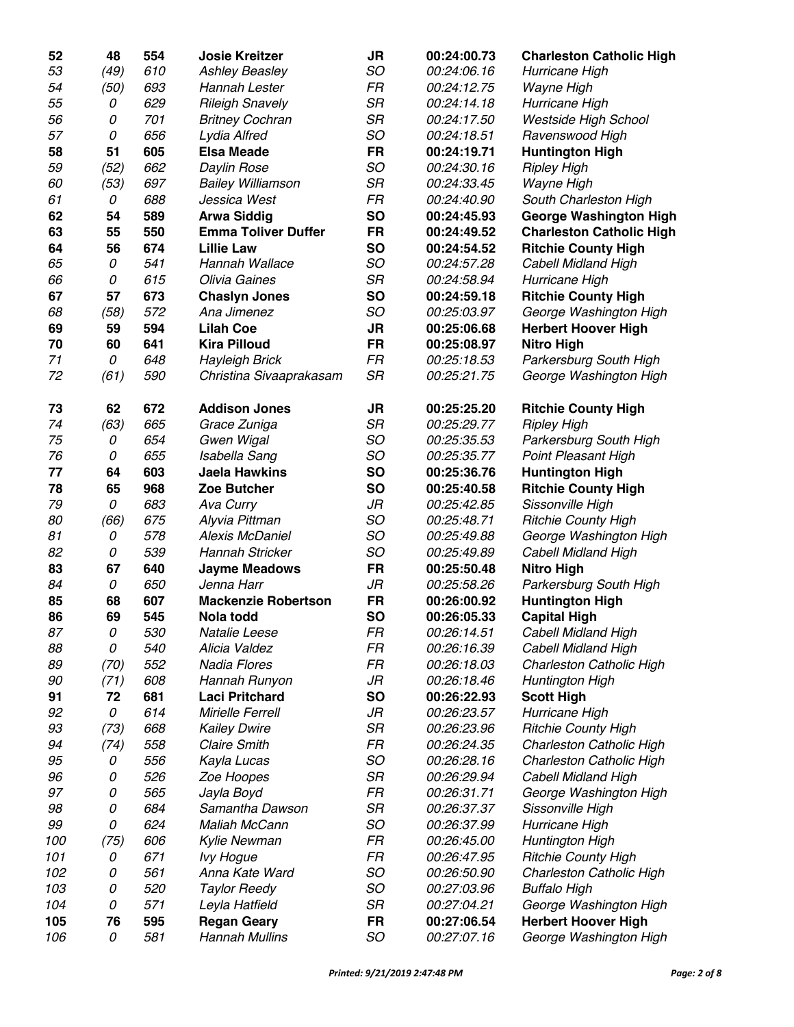| 52  | 48   | 554        | <b>Josie Kreitzer</b>      | <b>JR</b> | 00:24:00.73        | <b>Charleston Catholic High</b> |
|-----|------|------------|----------------------------|-----------|--------------------|---------------------------------|
| 53  | (49) | 610        | <b>Ashley Beasley</b>      | SO        | 00:24:06.16        | Hurricane High                  |
| 54  | (50) | 693        | Hannah Lester              | FR        | 00:24:12.75        | Wayne High                      |
| 55  | 0    | 629        | <b>Rileigh Snavely</b>     | <b>SR</b> | 00:24:14.18        | Hurricane High                  |
| 56  | 0    | 701        | <b>Britney Cochran</b>     | SR        | 00:24:17.50        | Westside High School            |
| 57  | 0    | 656        | Lydia Alfred               | SO        | 00:24:18.51        | Ravenswood High                 |
| 58  | 51   | 605        | <b>Elsa Meade</b>          | <b>FR</b> | 00:24:19.71        | <b>Huntington High</b>          |
| 59  | (52) | 662        | Daylin Rose                | SO        | 00:24:30.16        | <b>Ripley High</b>              |
| 60  | (53) | 697        | <b>Bailey Williamson</b>   | SR        | 00:24:33.45        | Wayne High                      |
| 61  | 0    | 688        | Jessica West               | FR        | 00:24:40.90        | South Charleston High           |
| 62  | 54   | 589        | <b>Arwa Siddig</b>         | <b>SO</b> | 00:24:45.93        | <b>George Washington High</b>   |
| 63  | 55   | 550        | <b>Emma Toliver Duffer</b> | <b>FR</b> | 00:24:49.52        | <b>Charleston Catholic High</b> |
| 64  | 56   | 674        | <b>Lillie Law</b>          | <b>SO</b> | 00:24:54.52        | <b>Ritchie County High</b>      |
| 65  | 0    | 541        | Hannah Wallace             | SO        | 00:24:57.28        | Cabell Midland High             |
| 66  | 0    | 615        | Olivia Gaines              | SR        | 00:24:58.94        | Hurricane High                  |
| 67  | 57   | 673        | <b>Chaslyn Jones</b>       | <b>SO</b> | 00:24:59.18        | <b>Ritchie County High</b>      |
| 68  | (58) | 572        | Ana Jimenez                | SO        | 00:25:03.97        | George Washington High          |
| 69  | 59   | 594        | <b>Lilah Coe</b>           | <b>JR</b> | 00:25:06.68        | <b>Herbert Hoover High</b>      |
| 70  | 60   | 641        | <b>Kira Pilloud</b>        | <b>FR</b> | 00:25:08.97        | <b>Nitro High</b>               |
| 71  | 0    | 648        | <b>Hayleigh Brick</b>      | FR        | 00:25:18.53        | Parkersburg South High          |
| 72  | (61) | 590        | Christina Sivaaprakasam    | <b>SR</b> | 00:25:21.75        | George Washington High          |
|     |      |            |                            |           |                    |                                 |
| 73  | 62   | 672        | <b>Addison Jones</b>       | JR        | 00:25:25.20        | <b>Ritchie County High</b>      |
| 74  | (63) | 665        | Grace Zuniga               | <b>SR</b> | 00:25:29.77        | <b>Ripley High</b>              |
| 75  | 0    | 654        | Gwen Wigal                 | SO        | 00:25:35.53        | Parkersburg South High          |
| 76  | 0    | 655        | Isabella Sang              | SO        | 00:25:35.77        | <b>Point Pleasant High</b>      |
| 77  | 64   | 603        | <b>Jaela Hawkins</b>       | <b>SO</b> | 00:25:36.76        | <b>Huntington High</b>          |
| 78  | 65   | 968        | Zoe Butcher                | <b>SO</b> | 00:25:40.58        | <b>Ritchie County High</b>      |
| 79  | 0    | 683        | Ava Curry                  | JR        | 00:25:42.85        | Sissonville High                |
| 80  | (66) | 675        | Alyvia Pittman             | SO        | 00:25:48.71        | <b>Ritchie County High</b>      |
| 81  | 0    | 578        | <b>Alexis McDaniel</b>     | SO        | 00:25:49.88        | George Washington High          |
| 82  | 0    | 539        | Hannah Stricker            | SO        | 00:25:49.89        | Cabell Midland High             |
| 83  | 67   | 640        | <b>Jayme Meadows</b>       | <b>FR</b> | 00:25:50.48        | <b>Nitro High</b>               |
| 84  | 0    | 650        | Jenna Harr                 | JR        | 00:25:58.26        | Parkersburg South High          |
| 85  | 68   | 607        | <b>Mackenzie Robertson</b> | <b>FR</b> | 00:26:00.92        | <b>Huntington High</b>          |
| 86  | 69   | 545        | Nola todd                  | <b>SO</b> | 00:26:05.33        | <b>Capital High</b>             |
| 87  | 0    | <i>530</i> | Natalie Leese              | FR        | <i>00:26:14.51</i> | Cabell Midland High             |
| 88  | 0    | 540        | Alicia Valdez              | FR        | 00:26:16.39        | <b>Cabell Midland High</b>      |
| 89  | (70) | 552        | <b>Nadia Flores</b>        | FR        | 00:26:18.03        | Charleston Catholic High        |
| 90  | (71) | 608        | Hannah Runyon              | JR        | 00:26:18.46        | Huntington High                 |
| 91  | 72   | 681        | <b>Laci Pritchard</b>      | <b>SO</b> | 00:26:22.93        | <b>Scott High</b>               |
| 92  | 0    | 614        | Mirielle Ferrell           | JR        | 00:26:23.57        | Hurricane High                  |
| 93  | (73) | 668        | <b>Kailey Dwire</b>        | SR        | 00:26:23.96        | <b>Ritchie County High</b>      |
| 94  | (74) | 558        | <b>Claire Smith</b>        | FR        | 00:26:24.35        | Charleston Catholic High        |
| 95  | 0    | 556        | Kayla Lucas                | SO        | 00:26:28.16        | Charleston Catholic High        |
| 96  | 0    | 526        | Zoe Hoopes                 | SR        | 00:26:29.94        | <b>Cabell Midland High</b>      |
| 97  | 0    | 565        | Jayla Boyd                 | FR        | 00:26:31.71        | George Washington High          |
| 98  | 0    | 684        | Samantha Dawson            | SR        | 00:26:37.37        | Sissonville High                |
| 99  | 0    | 624        | Maliah McCann              | SO        | 00:26:37.99        | Hurricane High                  |
| 100 | (75) | 606        | <b>Kylie Newman</b>        | FR        | 00:26:45.00        | Huntington High                 |
| 101 | 0    | 671        | <b>Ivy Hogue</b>           | FR        | 00:26:47.95        | <b>Ritchie County High</b>      |
| 102 | 0    | 561        | Anna Kate Ward             | SO        | 00:26:50.90        | Charleston Catholic High        |
| 103 | 0    | 520        | <b>Taylor Reedy</b>        | SO        | 00:27:03.96        | <b>Buffalo High</b>             |
| 104 | 0    | 571        | Leyla Hatfield             | SR        | 00:27:04.21        | George Washington High          |
| 105 | 76   | 595        | <b>Regan Geary</b>         | <b>FR</b> | 00:27:06.54        | <b>Herbert Hoover High</b>      |
| 106 | 0    | 581        | <b>Hannah Mullins</b>      | SO        | 00:27:07.16        | George Washington High          |
|     |      |            |                            |           |                    |                                 |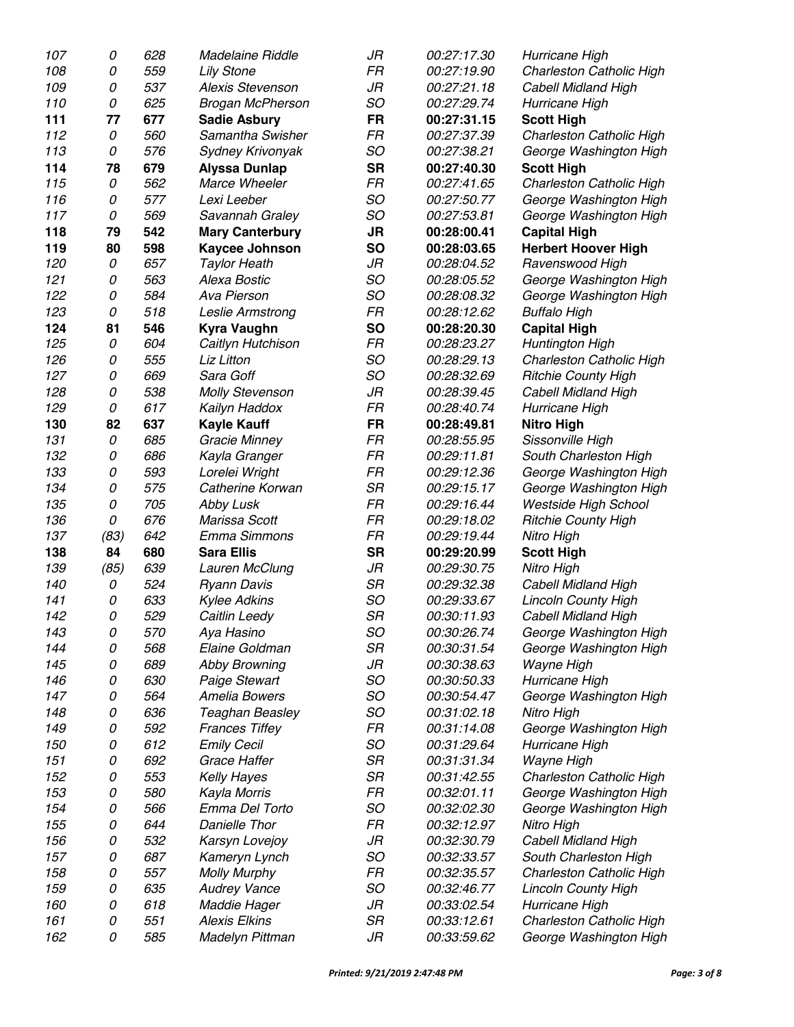| 107 | 0    | 628 | Madelaine Riddle        | JR        | 00:27:17.30 | Hurricane High             |
|-----|------|-----|-------------------------|-----------|-------------|----------------------------|
| 108 | 0    | 559 | <b>Lily Stone</b>       | FR        | 00:27:19.90 | Charleston Catholic High   |
| 109 | 0    | 537 | <b>Alexis Stevenson</b> | JR        | 00:27:21.18 | <b>Cabell Midland High</b> |
| 110 | 0    | 625 | <b>Brogan McPherson</b> | SO        | 00:27:29.74 | Hurricane High             |
| 111 | 77   | 677 | <b>Sadie Asbury</b>     | <b>FR</b> | 00:27:31.15 | <b>Scott High</b>          |
| 112 | 0    | 560 | Samantha Swisher        | FR        | 00:27:37.39 | Charleston Catholic High   |
| 113 | 0    | 576 | Sydney Krivonyak        | SO        | 00:27:38.21 | George Washington High     |
| 114 | 78   | 679 | <b>Alyssa Dunlap</b>    | <b>SR</b> | 00:27:40.30 | <b>Scott High</b>          |
| 115 | 0    | 562 | Marce Wheeler           | FR        | 00:27:41.65 | Charleston Catholic High   |
| 116 | 0    | 577 | Lexi Leeber             | SO        | 00:27:50.77 | George Washington High     |
| 117 | 0    | 569 | Savannah Graley         | SO        | 00:27:53.81 | George Washington High     |
| 118 | 79   | 542 | <b>Mary Canterbury</b>  | <b>JR</b> | 00:28:00.41 | <b>Capital High</b>        |
| 119 | 80   | 598 | <b>Kaycee Johnson</b>   | <b>SO</b> | 00:28:03.65 | <b>Herbert Hoover High</b> |
| 120 | 0    | 657 | <b>Taylor Heath</b>     | JR        | 00:28:04.52 | Ravenswood High            |
| 121 | 0    | 563 | Alexa Bostic            | SO        | 00:28:05.52 | George Washington High     |
| 122 | 0    | 584 | Ava Pierson             | SO        | 00:28:08.32 | George Washington High     |
| 123 | 0    | 518 | Leslie Armstrong        | FR        | 00:28:12.62 | <b>Buffalo High</b>        |
| 124 | 81   | 546 | <b>Kyra Vaughn</b>      | <b>SO</b> | 00:28:20.30 | <b>Capital High</b>        |
| 125 | 0    | 604 | Caitlyn Hutchison       | FR        | 00:28:23.27 | Huntington High            |
| 126 | 0    | 555 | Liz Litton              | SO        | 00:28:29.13 | Charleston Catholic High   |
| 127 | 0    | 669 | Sara Goff               | SO        | 00:28:32.69 | <b>Ritchie County High</b> |
| 128 | 0    | 538 | <b>Molly Stevenson</b>  | JR        | 00:28:39.45 | <b>Cabell Midland High</b> |
| 129 | 0    | 617 | Kailyn Haddox           | FR        | 00:28:40.74 | Hurricane High             |
| 130 | 82   | 637 | <b>Kayle Kauff</b>      | <b>FR</b> | 00:28:49.81 | <b>Nitro High</b>          |
| 131 | 0    | 685 | Gracie Minney           | FR        | 00:28:55.95 | Sissonville High           |
| 132 | 0    | 686 | Kayla Granger           | FR        | 00:29:11.81 | South Charleston High      |
| 133 | 0    | 593 | Lorelei Wright          | FR        | 00:29:12.36 | George Washington High     |
| 134 | 0    | 575 | Catherine Korwan        | <b>SR</b> | 00:29:15.17 | George Washington High     |
| 135 | 0    | 705 | Abby Lusk               | FR        | 00:29:16.44 | Westside High School       |
| 136 | 0    | 676 | Marissa Scott           | FR        | 00:29:18.02 | <b>Ritchie County High</b> |
| 137 | (83) | 642 | Emma Simmons            | FR        | 00:29:19.44 | Nitro High                 |
| 138 | 84   | 680 | <b>Sara Ellis</b>       | <b>SR</b> | 00:29:20.99 | <b>Scott High</b>          |
| 139 | (85) | 639 | Lauren McClung          | JR        | 00:29:30.75 | Nitro High                 |
| 140 | 0    | 524 | <b>Ryann Davis</b>      | SR        | 00:29:32.38 | <b>Cabell Midland High</b> |
| 141 | 0    | 633 | <b>Kylee Adkins</b>     | SO        | 00:29:33.67 | <b>Lincoln County High</b> |
| 142 | 0    | 529 | Caitlin Leedy           | <b>SR</b> | 00:30:11.93 | <b>Cabell Midland High</b> |
| 143 | 0    | 570 | Aya Hasino              | SO        | 00:30:26.74 | George Washington High     |
| 144 | 0    | 568 | Elaine Goldman          | SR        | 00:30:31.54 | George Washington High     |
| 145 | 0    | 689 | <b>Abby Browning</b>    | JR        | 00:30:38.63 | Wayne High                 |
| 146 | 0    | 630 | Paige Stewart           | SO        | 00:30:50.33 | Hurricane High             |
| 147 | 0    | 564 | Amelia Bowers           | SO        | 00:30:54.47 | George Washington High     |
| 148 | 0    | 636 | Teaghan Beasley         | SO        | 00:31:02.18 | Nitro High                 |
| 149 | 0    | 592 | <b>Frances Tiffey</b>   | FR        | 00:31:14.08 | George Washington High     |
| 150 | 0    | 612 | <b>Emily Cecil</b>      | SO        | 00:31:29.64 | Hurricane High             |
| 151 | 0    | 692 | Grace Haffer            | SR        | 00:31:31.34 | Wayne High                 |
| 152 | 0    | 553 | <b>Kelly Hayes</b>      | <b>SR</b> | 00:31:42.55 | Charleston Catholic High   |
| 153 | 0    | 580 | Kayla Morris            | FR        | 00:32:01.11 | George Washington High     |
| 154 | 0    | 566 | Emma Del Torto          | SO        | 00:32:02.30 | George Washington High     |
| 155 | 0    | 644 | Danielle Thor           | FR        | 00:32:12.97 | Nitro High                 |
| 156 | 0    | 532 | Karsyn Lovejoy          | JR        | 00:32:30.79 | <b>Cabell Midland High</b> |
| 157 | 0    | 687 | Kameryn Lynch           | SO        | 00:32:33.57 | South Charleston High      |
| 158 | 0    | 557 | <b>Molly Murphy</b>     | FR        | 00:32:35.57 | Charleston Catholic High   |
| 159 | 0    | 635 | <b>Audrey Vance</b>     | SO        | 00:32:46.77 | <b>Lincoln County High</b> |
| 160 | 0    | 618 | <b>Maddie Hager</b>     | JR        | 00:33:02.54 | Hurricane High             |
| 161 | 0    | 551 | <b>Alexis Elkins</b>    | <b>SR</b> | 00:33:12.61 | Charleston Catholic High   |
| 162 | 0    | 585 | Madelyn Pittman         | JR        | 00:33:59.62 | George Washington High     |